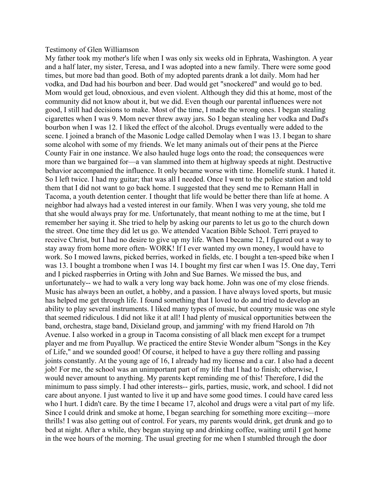## Testimony of Glen Williamson

My father took my mother's life when I was only six weeks old in Ephrata, Washington. A year and a half later, my sister, Teresa, and I was adopted into a new family. There were some good times, but more bad than good. Both of my adopted parents drank a lot daily. Mom had her vodka, and Dad had his bourbon and beer. Dad would get "snockered" and would go to bed. Mom would get loud, obnoxious, and even violent. Although they did this at home, most of the community did not know about it, but we did. Even though our parental influences were not good, I still had decisions to make. Most of the time, I made the wrong ones. I began stealing cigarettes when I was 9. Mom never threw away jars. So I began stealing her vodka and Dad's bourbon when I was 12. I liked the effect of the alcohol. Drugs eventually were added to the scene. I joined a branch of the Masonic Lodge called Demolay when I was 13. I began to share some alcohol with some of my friends. We let many animals out of their pens at the Pierce County Fair in one instance. We also hauled huge logs onto the road; the consequences were more than we bargained for—a van slammed into them at highway speeds at night. Destructive behavior accompanied the influence. It only became worse with time. Homelife stunk. I hated it. So I left twice. I had my guitar; that was all I needed. Once I went to the police station and told them that I did not want to go back home. I suggested that they send me to Remann Hall in Tacoma, a youth detention center. I thought that life would be better there than life at home. A neighbor had always had a vested interest in our family. When I was very young, she told me that she would always pray for me. Unfortunately, that meant nothing to me at the time, but I remember her saying it. She tried to help by asking our parents to let us go to the church down the street. One time they did let us go. We attended Vacation Bible School. Terri prayed to receive Christ, but I had no desire to give up my life. When I became 12, I figured out a way to stay away from home more often- WORK! If I ever wanted my own money, I would have to work. So I mowed lawns, picked berries, worked in fields, etc. I bought a ten-speed bike when I was 13. I bought a trombone when I was 14. I bought my first car when I was 15. One day, Terri and I picked raspberries in Orting with John and Sue Barnes. We missed the bus, and unfortunately-- we had to walk a very long way back home. John was one of my close friends. Music has always been an outlet, a hobby, and a passion. I have always loved sports, but music has helped me get through life. I found something that I loved to do and tried to develop an ability to play several instruments. I liked many types of music, but country music was one style that seemed ridiculous. I did not like it at all! I had plenty of musical opportunities between the band, orchestra, stage band, Dixieland group, and jamming' with my friend Harold on 7th Avenue. I also worked in a group in Tacoma consisting of all black men except for a trumpet player and me from Puyallup. We practiced the entire Stevie Wonder album "Songs in the Key of Life," and we sounded good! Of course, it helped to have a guy there rolling and passing joints constantly. At the young age of 16, I already had my license and a car. I also had a decent job! For me, the school was an unimportant part of my life that I had to finish; otherwise, I would never amount to anything. My parents kept reminding me of this! Therefore, I did the minimum to pass simply. I had other interests-- girls, parties, music, work, and school. I did not care about anyone. I just wanted to live it up and have some good times. I could have cared less who I hurt. I didn't care. By the time I became 17, alcohol and drugs were a vital part of my life. Since I could drink and smoke at home, I began searching for something more exciting—more thrills! I was also getting out of control. For years, my parents would drink, get drunk and go to bed at night. After a while, they began staying up and drinking coffee, waiting until I got home in the wee hours of the morning. The usual greeting for me when I stumbled through the door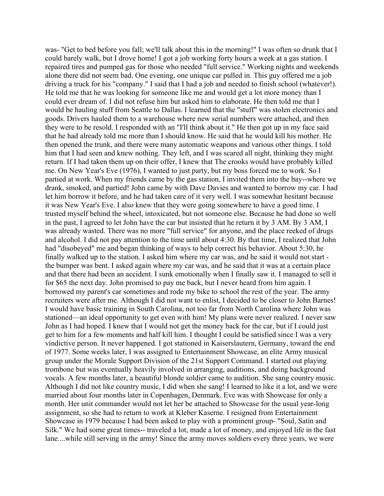was- "Get to bed before you fall; we'll talk about this in the morning!" I was often so drunk that I could barely walk, but I drove home! I got a job working forty hours a week at a gas station. I repaired tires and pumped gas for those who needed "full service." Working nights and weekends alone there did not seem bad. One evening, one unique car pulled in. This guy offered me a job driving a truck for his "company." I said that I had a job and needed to finish school (whatever!). He told me that he was looking for someone like me and would get a lot more money than I could ever dream of. I did not refuse him but asked him to elaborate. He then told me that I would be hauling stuff from Seattle to Dallas. I learned that the "stuff" was stolen electronics and goods. Drivers hauled them to a warehouse where new serial numbers were attached, and then they were to be resold. I responded with an "I'll think about it." He then got up in my face said that he had already told me more than I should know. He said that he would kill his mother. He then opened the trunk, and there were many automatic weapons and various other things. I told him that I had seen and knew nothing. They left, and I was scared all night, thinking they might return. If I had taken them up on their offer, I knew that The crooks would have probably killed me. On New Year's Eve (1976), I wanted to just party, but my boss forced me to work. So I partied at work. When my friends came by the gas station, I invited them into the bay--where we drank, smoked, and partied! John came by with Dave Davies and wanted to borrow my car. I had let him borrow it before, and he had taken care of it very well. I was somewhat hesitant because it was New Year's Eve. I also knew that they were going somewhere to have a good time. I trusted myself behind the wheel, intoxicated, but not someone else. Because he had done so well in the past, I agreed to let John have the car but insisted that he return it by 3 AM. By 3 AM, I was already wasted. There was no more "full service" for anyone, and the place reeked of drugs and alcohol. I did not pay attention to the time until about 4:30. By that time, I realized that John had "disobeyed" me and began thinking of ways to help correct his behavior. About 5:30, he finally walked up to the station. I asked him where my car was, and he said it would not start the bumper was bent. I asked again where my car was, and he said that it was at a certain place and that there had been an accident. I sunk emotionally when I finally saw it. I managed to sell it for \$65 the next day. John promised to pay me back, but I never heard from him again. I borrowed my parent's car sometimes and rode my bike to school the rest of the year. The army recruiters were after me. Although I did not want to enlist, I decided to be closer to John Barnes! I would have basic training in South Carolina, not too far from North Carolina where John was stationed—an ideal opportunity to get even with him! My plans were never realized. I never saw John as I had hoped. I knew that I would not get the money back for the car, but if I could just get to him for a few moments and half kill him. I thought I could be satisfied since I was a very vindictive person. It never happened. I got stationed in Kaiserslautern, Germany, toward the end of 1977. Some weeks later, I was assigned to Entertainment Showcase, an elite Army musical group under the Morale Support Division of the 21st Support Command. I started out playing trombone but was eventually heavily involved in arranging, auditions, and doing background vocals. A few months later, a beautiful blonde soldier came to audition. She sang country music. Although I did not like country music, I did when she sang! I learned to like it a lot, and we were married about four months later in Copenhagen, Denmark. Eve was with Showcase for only a month. Her unit commander would not let her be attached to Showcase for the usual year-long assignment, so she had to return to work at Kleber Kaserne. I resigned from Entertainment Showcase in 1979 because I had been asked to play with a prominent group- "Soul, Satin and Silk." We had some great times-- traveled a lot, made a lot of money, and enjoyed life in the fast lane....while still serving in the army! Since the army moves soldiers every three years, we were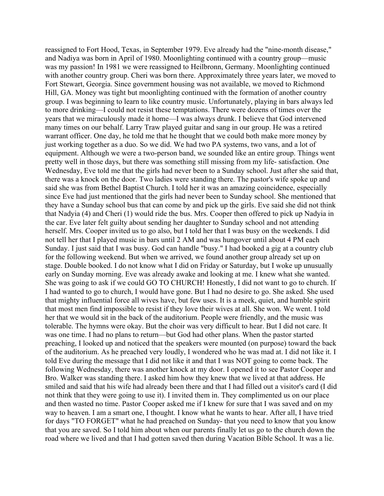reassigned to Fort Hood, Texas, in September 1979. Eve already had the "nine-month disease," and Nadiya was born in April of 1980. Moonlighting continued with a country group—music was my passion! In 1981 we were reassigned to Heilbronn, Germany. Moonlighting continued with another country group. Cheri was born there. Approximately three years later, we moved to Fort Stewart, Georgia. Since government housing was not available, we moved to Richmond Hill, GA. Money was tight but moonlighting continued with the formation of another country group. I was beginning to learn to like country music. Unfortunately, playing in bars always led to more drinking—I could not resist these temptations. There were dozens of times over the years that we miraculously made it home—I was always drunk. I believe that God intervened many times on our behalf. Larry Traw played guitar and sang in our group. He was a retired warrant officer. One day, he told me that he thought that we could both make more money by just working together as a duo. So we did. We had two PA systems, two vans, and a lot of equipment. Although we were a two-person band, we sounded like an entire group. Things went pretty well in those days, but there was something still missing from my life- satisfaction. One Wednesday, Eve told me that the girls had never been to a Sunday school. Just after she said that, there was a knock on the door. Two ladies were standing there. The pastor's wife spoke up and said she was from Bethel Baptist Church. I told her it was an amazing coincidence, especially since Eve had just mentioned that the girls had never been to Sunday school. She mentioned that they have a Sunday school bus that can come by and pick up the girls. Eve said she did not think that Nadyia (4) and Cheri (1) would ride the bus. Mrs. Cooper then offered to pick up Nadyia in the car. Eve later felt guilty about sending her daughter to Sunday school and not attending herself. Mrs. Cooper invited us to go also, but I told her that I was busy on the weekends. I did not tell her that I played music in bars until 2 AM and was hungover until about 4 PM each Sunday. I just said that I was busy. God can handle "busy." I had booked a gig at a country club for the following weekend. But when we arrived, we found another group already set up on stage. Double booked. I do not know what I did on Friday or Saturday, but I woke up unusually early on Sunday morning. Eve was already awake and looking at me. I knew what she wanted. She was going to ask if we could GO TO CHURCH! Honestly, I did not want to go to church. If I had wanted to go to church, I would have gone. But I had no desire to go. She asked. She used that mighty influential force all wives have, but few uses. It is a meek, quiet, and humble spirit that most men find impossible to resist if they love their wives at all. She won. We went. I told her that we would sit in the back of the auditorium. People were friendly, and the music was tolerable. The hymns were okay. But the choir was very difficult to hear. But I did not care. It was one time. I had no plans to return—but God had other plans. When the pastor started preaching, I looked up and noticed that the speakers were mounted (on purpose) toward the back of the auditorium. As he preached very loudly, I wondered who he was mad at. I did not like it. I told Eve during the message that I did not like it and that I was NOT going to come back. The following Wednesday, there was another knock at my door. I opened it to see Pastor Cooper and Bro. Walker was standing there. I asked him how they knew that we lived at that address. He smiled and said that his wife had already been there and that I had filled out a visitor's card (I did not think that they were going to use it). I invited them in. They complimented us on our place and then wasted no time. Pastor Cooper asked me if I knew for sure that I was saved and on my way to heaven. I am a smart one, I thought. I know what he wants to hear. After all, I have tried for days "TO FORGET" what he had preached on Sunday- that you need to know that you know that you are saved. So I told him about when our parents finally let us go to the church down the road where we lived and that I had gotten saved then during Vacation Bible School. It was a lie.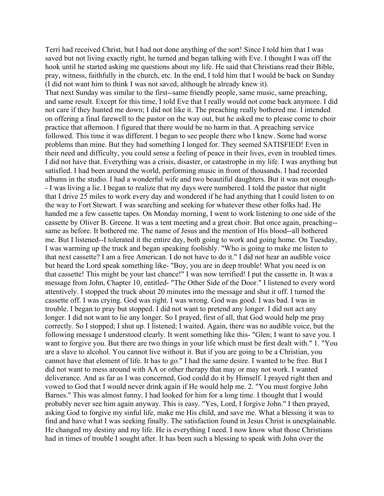Terri had received Christ, but I had not done anything of the sort! Since I told him that I was saved but not living exactly right, he turned and began talking with Eve. I thought I was off the hook until he started asking me questions about my life. He said that Christians read their Bible, pray, witness, faithfully in the church, etc. In the end, I told him that I would be back on Sunday (I did not want him to think I was not saved, although he already knew it).

That next Sunday was similar to the first--same friendly people, same music, same preaching, and same result. Except for this time, I told Eve that I really would not come back anymore. I did not care if they hunted me down; I did not like it. The preaching really bothered me. I intended on offering a final farewell to the pastor on the way out, but he asked me to please come to choir practice that afternoon. I figured that there would be no harm in that. A preaching service followed. This time it was different. I began to see people there who I knew. Some had worse problems than mine. But they had something I longed for. They seemed SATISFIED! Even in their need and difficulty, you could sense a feeling of peace in their lives, even in troubled times. I did not have that. Everything was a crisis, disaster, or catastrophe in my life. I was anything but satisfied. I had been around the world, performing music in front of thousands. I had recorded albums in the studio. I had a wonderful wife and two beautiful daughters. But it was not enough- - I was living a lie. I began to realize that my days were numbered. I told the pastor that night that I drive 25 miles to work every day and wondered if he had anything that I could listen to on the way to Fort Stewart. I was searching and seeking for whatever these other folks had. He handed me a few cassette tapes. On Monday morning, I went to work listening to one side of the cassette by Oliver B. Greene. It was a tent meeting and a great choir. But once again, preaching- same as before. It bothered me. The name of Jesus and the mention of His blood--all bothered me. But I listened--I tolerated it the entire day, both going to work and going home. On Tuesday, I was warming up the truck and began speaking foolishly. "Who is going to make me listen to that next cassette? I am a free American. I do not have to do it." I did not hear an audible voice but heard the Lord speak something like- "Boy, you are in deep trouble! What you need is on that cassette! This might be your last chance!" I was now terrified! I put the cassette in. It was a message from John, Chapter 10, entitled- "The Other Side of the Door." I listened to every word attentively. I stopped the truck about 20 minutes into the message and shut it off. I turned the cassette off. I was crying. God was right. I was wrong. God was good. I was bad. I was in trouble. I began to pray but stopped. I did not want to pretend any longer. I did not act any longer. I did not want to lie any longer. So I prayed, first of all, that God would help me pray correctly. So I stopped; I shut up. I listened; I waited. Again, there was no audible voice, but the following message I understood clearly. It went something like this- "Glen; I want to save you. I want to forgive you. But there are two things in your life which must be first dealt with." 1. "You are a slave to alcohol. You cannot live without it. But if you are going to be a Christian, you cannot have that element of life. It has to go." I had the same desire. I wanted to be free. But I did not want to mess around with AA or other therapy that may or may not work. I wanted deliverance. And as far as I was concerned, God could do it by Himself. I prayed right then and vowed to God that I would never drink again if He would help me. 2. "You must forgive John Barnes." This was almost funny. I had looked for him for a long time. I thought that I would probably never see him again anyway. This is easy. "Yes, Lord, I forgive John." I then prayed, asking God to forgive my sinful life, make me His child, and save me. What a blessing it was to find and have what I was seeking finally. The satisfaction found in Jesus Christ is unexplainable. He changed my destiny and my life. He is everything I need. I now know what those Christians had in times of trouble I sought after. It has been such a blessing to speak with John over the